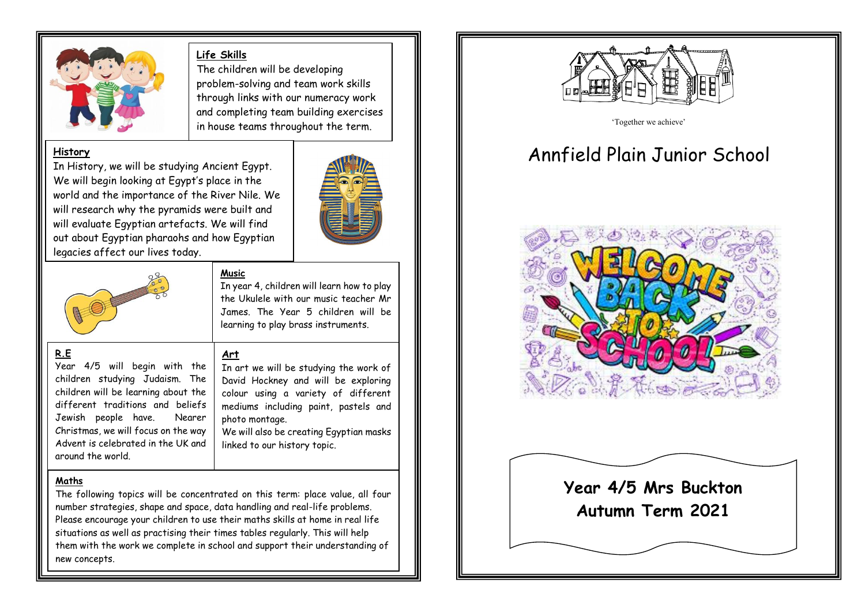

#### **Life Skills**

**Music**

The children will be developing problem-solving and team work skills through links with our numeracy work and completing team building exercises in house teams throughout the term.

#### **History**

In History, we will be studying Ancient Egypt. We will begin looking at Egypt's place in the world and the importance of the River Nile. We will research why the pyramids were built and will evaluate Egyptian artefacts. We will find out about Egyptian pharaohs and how Egyptian legacies affect our lives today.





## **R.E**

 $\overline{Year}$  4/5 will begin with the children studying Judaism. The children will be learning about the different traditions and beliefs Jewish people have. Nearer Christmas, we will focus on the way Advent is celebrated in the UK and around the world.

**Art** In art we will be studying the work of David Hockney and will be exploring colour using a variety of different mediums including paint, pastels and photo montage.

In year 4, children will learn how to play the Ukulele with our music teacher Mr James. The Year 5 children will be learning to play brass instruments.

We will also be creating Egyptian masks linked to our history topic.

#### **Maths**

The following topics will be concentrated on this term: place value, all four number strategies, shape and space, data handling and real-life problems. Please encourage your children to use their maths skills at home in real life situations as well as practising their times tables regularly. This will help them with the work we complete in school and support their understanding of new concepts.



'Together we achieve'

# Annfield Plain Junior School





**Autumn Term 2021**